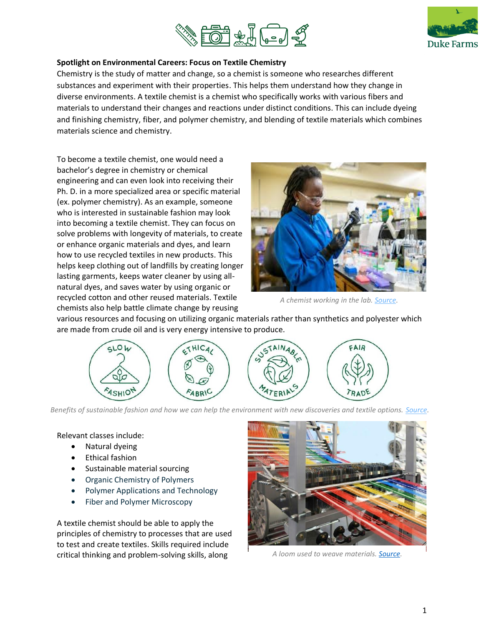



### **Spotlight on Environmental Careers: Focus on Textile Chemistry**

Chemistry is the study of matter and change, so a chemist is someone who researches different substances and experiment with their properties. This helps them understand how they change in diverse environments. A textile chemist is a chemist who specifically works with various fibers and materials to understand their changes and reactions under distinct conditions. This can include dyeing and finishing chemistry, fiber, and polymer chemistry, and blending of textile materials which combines materials science and chemistry.

To become a textile chemist, one would need a bachelor's degree in chemistry or chemical engineering and can even look into receiving their Ph. D. in a more specialized area or specific material (ex. polymer chemistry). As an example, someone who is interested in sustainable fashion may look into becoming a textile chemist. They can focus on solve problems with longevity of materials, to create or enhance organic materials and dyes, and learn how to use recycled textiles in new products. This helps keep clothing out of landfills by creating longer lasting garments, keeps water cleaner by using allnatural dyes, and saves water by using organic or recycled cotton and other reused materials. Textile chemists also help battle climate change by reusing



*A chemist working in the lab. [Source.](https://news.stanford.edu/2019/08/19/what-its-like-to-be-a-chemist/)*

various resources and focusing on utilizing organic materials rather than synthetics and polyester which are made from crude oil and is very energy intensive to produce.



*Benefits of sustainable fashion and how we can help the environment with new discoveries and textile options. [Source.](https://www.meniga.com/business/blog/sustainable-fashion-for-sustainable-growth)* 

Relevant classes include:

- Natural dyeing
- Ethical fashion
- Sustainable material sourcing
- Organic Chemistry of Polymers
- Polymer Applications and Technology
- Fiber and Polymer Microscopy

A textile chemist should be able to apply the principles of chemistry to processes that are used to test and create textiles. Skills required include critical thinking and problem-solving skills, along



*A loom used to weave materials. [Source.](https://www.industrialchemicalblog.com/the-rise-and-rise-of-textile-chemistry/)*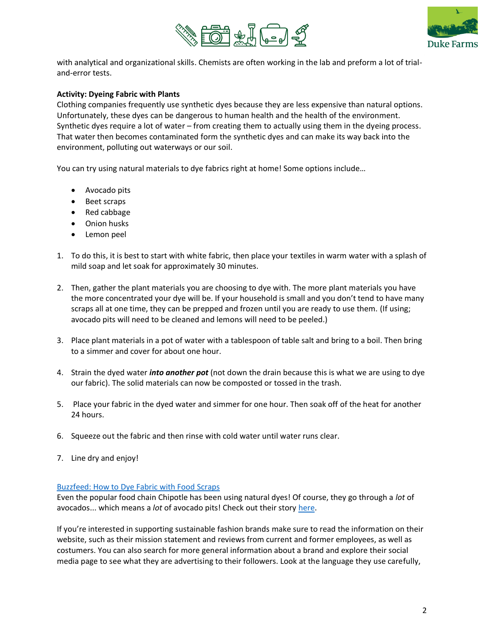



with analytical and organizational skills. Chemists are often working in the lab and preform a lot of trialand-error tests.

# **Activity: Dyeing Fabric with Plants**

Clothing companies frequently use synthetic dyes because they are less expensive than natural options. Unfortunately, these dyes can be dangerous to human health and the health of the environment. Synthetic dyes require a lot of water – from creating them to actually using them in the dyeing process. That water then becomes contaminated form the synthetic dyes and can make its way back into the environment, polluting out waterways or our soil.

You can try using natural materials to dye fabrics right at home! Some options include...

- Avocado pits
- Beet scraps
- Red cabbage
- Onion husks
- Lemon peel
- 1. To do this, it is best to start with white fabric, then place your textiles in warm water with a splash of mild soap and let soak for approximately 30 minutes.
- 2. Then, gather the plant materials you are choosing to dye with. The more plant materials you have the more concentrated your dye will be. If your household is small and you don't tend to have many scraps all at one time, they can be prepped and frozen until you are ready to use them. (If using; avocado pits will need to be cleaned and lemons will need to be peeled.)
- 3. Place plant materials in a pot of water with a tablespoon of table salt and bring to a boil. Then bring to a simmer and cover for about one hour.
- 4. Strain the dyed water *into another pot* (not down the drain because this is what we are using to dye our fabric). The solid materials can now be composted or tossed in the trash.
- 5. Place your fabric in the dyed water and simmer for one hour. Then soak off of the heat for another 24 hours.
- 6. Squeeze out the fabric and then rinse with cold water until water runs clear.
- 7. Line dry and enjoy!

### [Buzzfeed: How to Dye Fabric with Food Scraps](https://www.youtube.com/watch?v=fCKULKTt4p4)

Even the popular food chain Chipotle has been using natural dyes! Of course, they go through a *lot* of avocados... which means a *lot* of avocado pits! Check out their story [here.](https://www.cnn.com/2020/08/03/business/chipotle-avocado-clothes/index.html)

If you're interested in supporting sustainable fashion brands make sure to read the information on their website, such as their mission statement and reviews from current and former employees, as well as costumers. You can also search for more general information about a brand and explore their social media page to see what they are advertising to their followers. Look at the language they use carefully,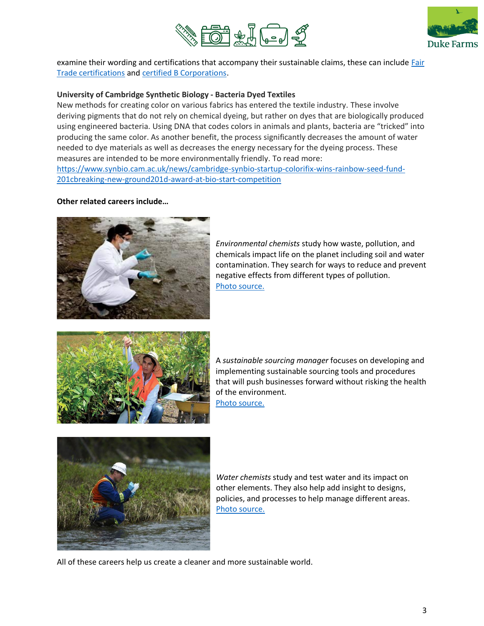



examine their wording and certifications that accompany their sustainable claims, these can include [Fair](https://www.fairtrade.net/)  [Trade certifications](https://www.fairtrade.net/) and [certified B Corporations.](https://bcorporation.net/)

### **University of Cambridge Synthetic Biology - Bacteria Dyed Textiles**

New methods for creating color on various fabrics has entered the textile industry. These involve deriving pigments that do not rely on chemical dyeing, but rather on dyes that are biologically produced using engineered bacteria. Using DNA that codes colors in animals and plants, bacteria are "tricked" into producing the same color. As another benefit, the process significantly decreases the amount of water needed to dye materials as well as decreases the energy necessary for the dyeing process. These measures are intended to be more environmentally friendly. To read more: [https://www.synbio.cam.ac.uk/news/cambridge-synbio-startup-colorifix-wins-rainbow-seed-fund-](https://www.synbio.cam.ac.uk/news/cambridge-synbio-startup-colorifix-wins-rainbow-seed-fund-201cbreaking-new-ground201d-award-at-bio-start-competition)[201cbreaking-new-ground201d-award-at-bio-start-competition](https://www.synbio.cam.ac.uk/news/cambridge-synbio-startup-colorifix-wins-rainbow-seed-fund-201cbreaking-new-ground201d-award-at-bio-start-competition)

#### **Other related careers include…**



*Environmental chemists* study how waste, pollution, and chemicals impact life on the planet including soil and water contamination. They search for ways to reduce and prevent negative effects from different types of pollution. [Photo source.](https://www.environmentalscience.org/career/environmental-chemist)



A *sustainable sourcing manager* focuses on developing and implementing sustainable sourcing tools and procedures that will push businesses forward without risking the health of the environment.





*Water chemists* study and test water and its impact on other elements. They also help add insight to designs, policies, and processes to help manage different areas. [Photo source.](https://chemistry.csuci.edu/career-pathways/environmental.htm)

All of these careers help us create a cleaner and more sustainable world.